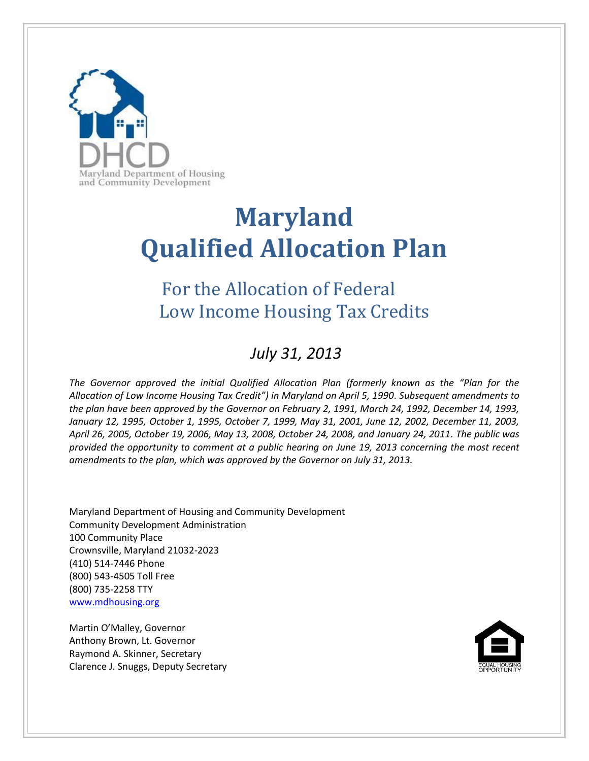

# **Maryland Qualified Allocation Plan**

## For the Allocation of Federal Low Income Housing Tax Credits

## *July 31, 2013*

*The Governor approved the initial Qualified Allocation Plan (formerly known as the "Plan for the Allocation of Low Income Housing Tax Credit") in Maryland on April 5, 1990. Subsequent amendments to the plan have been approved by the Governor on February 2, 1991, March 24, 1992, December 14, 1993, January 12, 1995, October 1, 1995, October 7, 1999, May 31, 2001, June 12, 2002, December 11, 2003, April 26, 2005, October 19, 2006, May 13, 2008, October 24, 2008, and January 24, 2011. The public was provided the opportunity to comment at a public hearing on June 19, 2013 concerning the most recent amendments to the plan, which was approved by the Governor on July 31, 2013.*

Maryland Department of Housing and Community Development Community Development Administration 100 Community Place Crownsville, Maryland 21032-2023 (410) 514-7446 Phone (800) 543-4505 Toll Free (800) 735-2258 TTY [www.mdhousing.org](http://www.mdhousing.org/)

Martin O'Malley, Governor Anthony Brown, Lt. Governor Raymond A. Skinner, Secretary Clarence J. Snuggs, Deputy Secretary

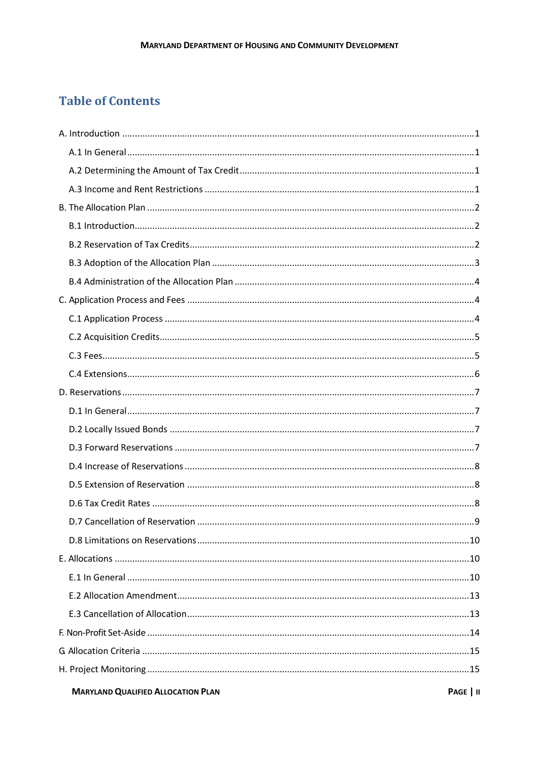## **Table of Contents**

| <b>MARYLAND QUALIFIED ALLOCATION PLAN</b><br>PAGE   II |  |
|--------------------------------------------------------|--|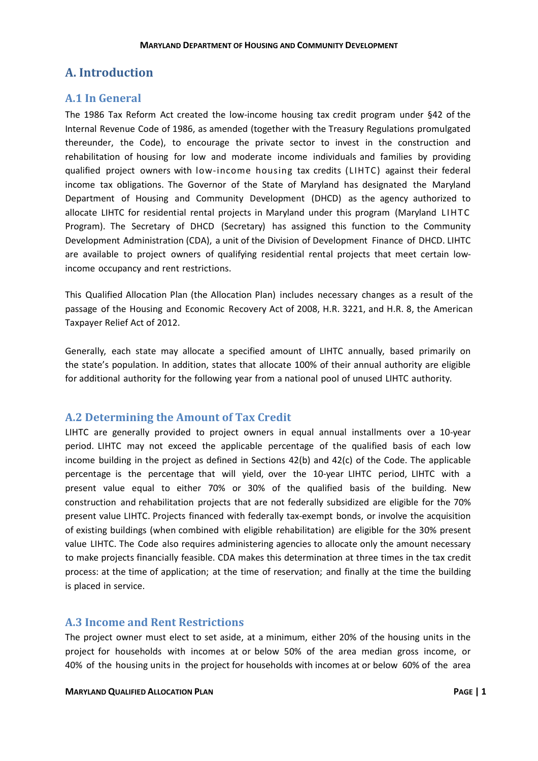### <span id="page-3-0"></span>**A. Introduction**

#### <span id="page-3-1"></span>**A.1 In General**

The 1986 Tax Reform Act created the low-income housing tax credit program under §42 of the Internal Revenue Code of 1986, as amended (together with the Treasury Regulations promulgated thereunder, the Code), to encourage the private sector to invest in the construction and rehabilitation of housing for low and moderate income individuals and families by providing qualified project owners with low-income housing tax credits (LIHTC) against their federal income tax obligations. The Governor of the State of Maryland has designated the Maryland Department of Housing and Community Development (DHCD) as the agency authorized to allocate LIHTC for residential rental projects in Maryland under this program (Maryland LIHTC Program). The Secretary of DHCD (Secretary) has assigned this function to the Community Development Administration (CDA), a unit of the Division of Development Finance of DHCD. LIHTC are available to project owners of qualifying residential rental projects that meet certain lowincome occupancy and rent restrictions.

This Qualified Allocation Plan (the Allocation Plan) includes necessary changes as a result of the passage of the Housing and Economic Recovery Act of 2008, H.R. 3221, and H.R. 8, the American Taxpayer Relief Act of 2012.

Generally, each state may allocate a specified amount of LIHTC annually, based primarily on the state's population. In addition, states that allocate 100% of their annual authority are eligible for additional authority for the following year from a national pool of unused LIHTC authority.

#### <span id="page-3-2"></span>**A.2 Determining the Amount of Tax Credit**

LIHTC are generally provided to project owners in equal annual installments over a 10-year period. LIHTC may not exceed the applicable percentage of the qualified basis of each low income building in the project as defined in Sections 42(b) and 42(c) of the Code. The applicable percentage is the percentage that will yield, over the 10-year LIHTC period, LIHTC with a present value equal to either 70% or 30% of the qualified basis of the building. New construction and rehabilitation projects that are not federally subsidized are eligible for the 70% present value LIHTC. Projects financed with federally tax-exempt bonds, or involve the acquisition of existing buildings (when combined with eligible rehabilitation) are eligible for the 30% present value LIHTC. The Code also requires administering agencies to allocate only the amount necessary to make projects financially feasible. CDA makes this determination at three times in the tax credit process: at the time of application; at the time of reservation; and finally at the time the building is placed in service.

#### <span id="page-3-3"></span>**A.3 Income and Rent Restrictions**

The project owner must elect to set aside, at a minimum, either 20% of the housing units in the project for households with incomes at or below 50% of the area median gross income, or 40% of the housing units in the project for households with incomes at or below 60% of the area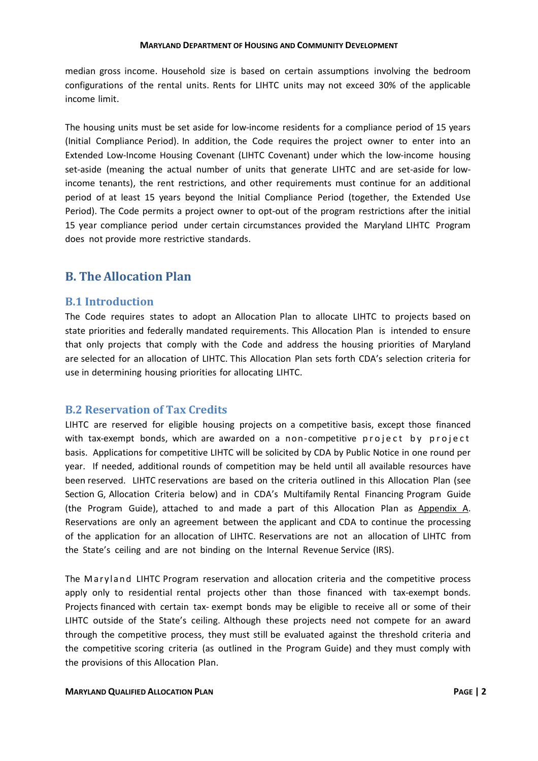median gross income. Household size is based on certain assumptions involving the bedroom configurations of the rental units. Rents for LIHTC units may not exceed 30% of the applicable income limit.

The housing units must be set aside for low-income residents for a compliance period of 15 years (Initial Compliance Period). In addition, the Code requires the project owner to enter into an Extended Low-Income Housing Covenant (LIHTC Covenant) under which the low-income housing set-aside (meaning the actual number of units that generate LIHTC and are set-aside for lowincome tenants), the rent restrictions, and other requirements must continue for an additional period of at least 15 years beyond the Initial Compliance Period (together, the Extended Use Period). The Code permits a project owner to opt-out of the program restrictions after the initial 15 year compliance period under certain circumstances provided the Maryland LIHTC Program does not provide more restrictive standards.

#### <span id="page-4-0"></span>**B. The Allocation Plan**

#### <span id="page-4-1"></span>**B.1 Introduction**

The Code requires states to adopt an Allocation Plan to allocate LIHTC to projects based on state priorities and federally mandated requirements. This Allocation Plan is intended to ensure that only projects that comply with the Code and address the housing priorities of Maryland are selected for an allocation of LIHTC. This Allocation Plan sets forth CDA's selection criteria for use in determining housing priorities for allocating LIHTC.

#### <span id="page-4-2"></span>**B.2 Reservation of Tax Credits**

LIHTC are reserved for eligible housing projects on a competitive basis, except those financed with tax-exempt bonds, which are awarded on a non-competitive project by project basis. Applications for competitive LIHTC will be solicited by CDA by Public Notice in one round per year. If needed, additional rounds of competition may be held until all available resources have been reserved. LIHTC reservations are based on the criteria outlined in this Allocation Plan (see Section G, Allocation Criteria below) and in CDA's Multifamily Rental Financing Program Guide (the Program Guide), attached to and made a part of this Allocation Plan as Appendix A. Reservations are only an agreement between the applicant and CDA to continue the processing of the application for an allocation of LIHTC. Reservations are not an allocation of LIHTC from the State's ceiling and are not binding on the Internal Revenue Service (IRS).

The Maryland LIHTC Program reservation and allocation criteria and the competitive process apply only to residential rental projects other than those financed with tax-exempt bonds. Projects financed with certain tax- exempt bonds may be eligible to receive all or some of their LIHTC outside of the State's ceiling. Although these projects need not compete for an award through the competitive process, they must still be evaluated against the threshold criteria and the competitive scoring criteria (as outlined in the Program Guide) and they must comply with the provisions of this Allocation Plan.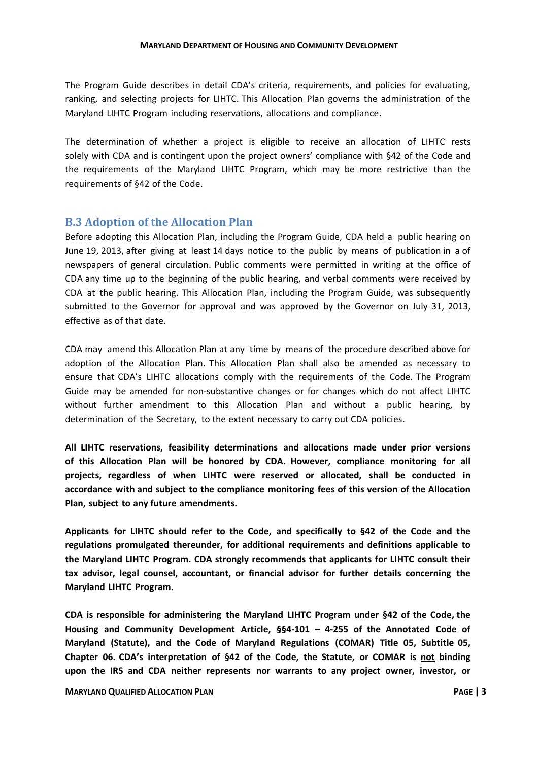The Program Guide describes in detail CDA's criteria, requirements, and policies for evaluating, ranking, and selecting projects for LIHTC. This Allocation Plan governs the administration of the Maryland LIHTC Program including reservations, allocations and compliance.

The determination of whether a project is eligible to receive an allocation of LIHTC rests solely with CDA and is contingent upon the project owners' compliance with §42 of the Code and the requirements of the Maryland LIHTC Program, which may be more restrictive than the requirements of §42 of the Code.

#### <span id="page-5-0"></span>**B.3 Adoption of the Allocation Plan**

Before adopting this Allocation Plan, including the Program Guide, CDA held a public hearing on June 19, 2013, after giving at least 14 days notice to the public by means of publication in a of newspapers of general circulation. Public comments were permitted in writing at the office of CDA any time up to the beginning of the public hearing, and verbal comments were received by CDA at the public hearing. This Allocation Plan, including the Program Guide, was subsequently submitted to the Governor for approval and was approved by the Governor on July 31, 2013, effective as of that date.

CDA may amend this Allocation Plan at any time by means of the procedure described above for adoption of the Allocation Plan. This Allocation Plan shall also be amended as necessary to ensure that CDA's LIHTC allocations comply with the requirements of the Code. The Program Guide may be amended for non-substantive changes or for changes which do not affect LIHTC without further amendment to this Allocation Plan and without a public hearing, by determination of the Secretary, to the extent necessary to carry out CDA policies.

**All LIHTC reservations, feasibility determinations and allocations made under prior versions of this Allocation Plan will be honored by CDA. However, compliance monitoring for all projects, regardless of when LIHTC were reserved or allocated, shall be conducted in accordance with and subject to the compliance monitoring fees of this version of the Allocation Plan, subject to any future amendments.**

**Applicants for LIHTC should refer to the Code, and specifically to §42 of the Code and the regulations promulgated thereunder, for additional requirements and definitions applicable to the Maryland LIHTC Program. CDA strongly recommends that applicants for LIHTC consult their tax advisor, legal counsel, accountant, or financial advisor for further details concerning the Maryland LIHTC Program.**

**CDA is responsible for administering the Maryland LIHTC Program under §42 of the Code, the Housing and Community Development Article, §§4-101 – 4-255 of the Annotated Code of Maryland (Statute), and the Code of Maryland Regulations (COMAR) Title 05, Subtitle 05, Chapter 06. CDA's interpretation of §42 of the Code, the Statute, or COMAR is not binding upon the IRS and CDA neither represents nor warrants to any project owner, investor, or**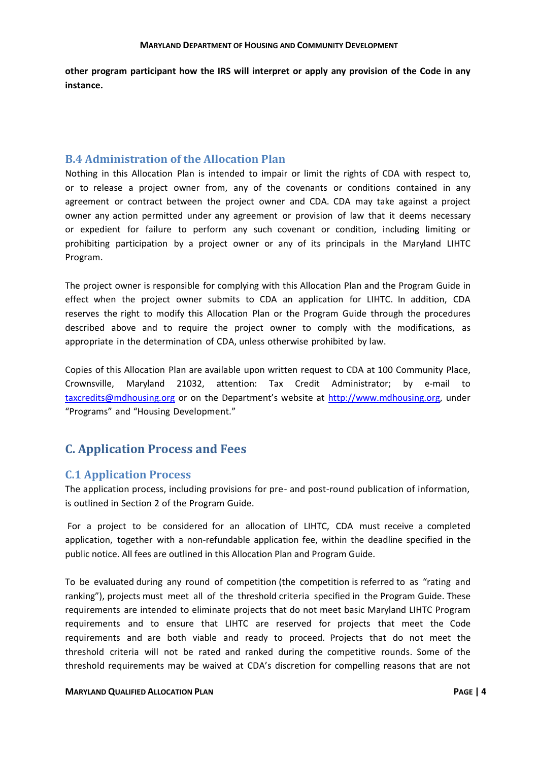<span id="page-6-0"></span>**other program participant how the IRS will interpret or apply any provision of the Code in any instance.**

#### **B.4 Administration of the Allocation Plan**

Nothing in this Allocation Plan is intended to impair or limit the rights of CDA with respect to, or to release a project owner from, any of the covenants or conditions contained in any agreement or contract between the project owner and CDA. CDA may take against a project owner any action permitted under any agreement or provision of law that it deems necessary or expedient for failure to perform any such covenant or condition, including limiting or prohibiting participation by a project owner or any of its principals in the Maryland LIHTC Program.

The project owner is responsible for complying with this Allocation Plan and the Program Guide in effect when the project owner submits to CDA an application for LIHTC. In addition, CDA reserves the right to modify this Allocation Plan or the Program Guide through the procedures described above and to require the project owner to comply with the modifications, as appropriate in the determination of CDA, unless otherwise prohibited by law.

Copies of this Allocation Plan are available upon written request to CDA at 100 Community Place, Crownsville, Maryland 21032, attention: Tax Credit Administrator; by e-mail to [taxcredits@mdhousing.org](mailto:taxcredits@mdhousing.org) or on the Department's website at [http://www.mdhousing.org,](http://www.mdhousing.org/) under "Programs" and "Housing Development."

#### <span id="page-6-1"></span>**C. Application Process and Fees**

#### <span id="page-6-2"></span>**C.1 Application Process**

The application process, including provisions for pre- and post-round publication of information, is outlined in Section 2 of the Program Guide.

For a project to be considered for an allocation of LIHTC, CDA must receive a completed application, together with a non-refundable application fee, within the deadline specified in the public notice. All fees are outlined in this Allocation Plan and Program Guide.

To be evaluated during any round of competition (the competition is referred to as "rating and ranking"), projects must meet all of the threshold criteria specified in the Program Guide. These requirements are intended to eliminate projects that do not meet basic Maryland LIHTC Program requirements and to ensure that LIHTC are reserved for projects that meet the Code requirements and are both viable and ready to proceed. Projects that do not meet the threshold criteria will not be rated and ranked during the competitive rounds. Some of the threshold requirements may be waived at CDA's discretion for compelling reasons that are not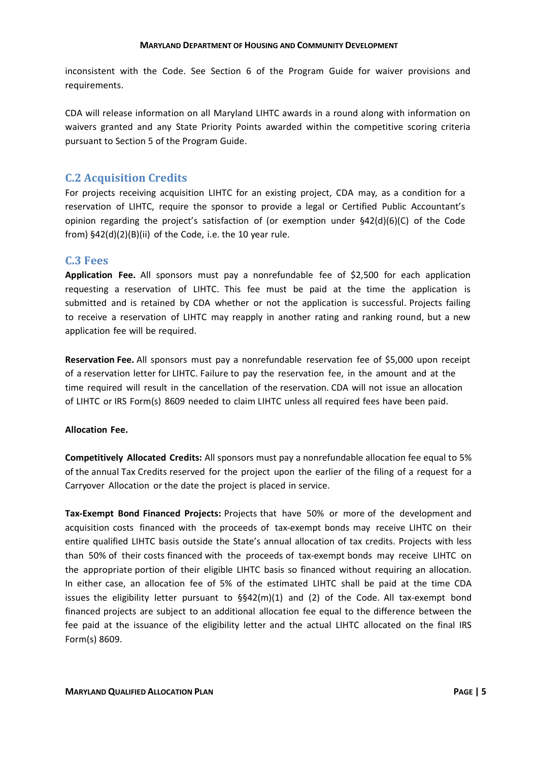inconsistent with the Code. See Section 6 of the Program Guide for waiver provisions and requirements.

CDA will release information on all Maryland LIHTC awards in a round along with information on waivers granted and any State Priority Points awarded within the competitive scoring criteria pursuant to Section 5 of the Program Guide.

#### <span id="page-7-0"></span>**C.2 Acquisition Credits**

For projects receiving acquisition LIHTC for an existing project, CDA may, as a condition for a reservation of LIHTC, require the sponsor to provide a legal or Certified Public Accountant's opinion regarding the project's satisfaction of (or exemption under  $\S42(d)(6)(C)$  of the Code from)  $$42(d)(2)(B)(ii)$  of the Code, i.e. the 10 year rule.

#### <span id="page-7-1"></span>**C.3 Fees**

**Application Fee.** All sponsors must pay a nonrefundable fee of \$2,500 for each application requesting a reservation of LIHTC. This fee must be paid at the time the application is submitted and is retained by CDA whether or not the application is successful. Projects failing to receive a reservation of LIHTC may reapply in another rating and ranking round, but a new application fee will be required.

**Reservation Fee.** All sponsors must pay a nonrefundable reservation fee of \$5,000 upon receipt of a reservation letter for LIHTC. Failure to pay the reservation fee, in the amount and at the time required will result in the cancellation of the reservation. CDA will not issue an allocation of LIHTC or IRS Form(s) 8609 needed to claim LIHTC unless all required fees have been paid.

#### **Allocation Fee.**

**Competitively Allocated Credits:** All sponsors must pay a nonrefundable allocation fee equal to 5% of the annual Tax Credits reserved for the project upon the earlier of the filing of a request for a Carryover Allocation or the date the project is placed in service.

**Tax-Exempt Bond Financed Projects:** Projects that have 50% or more of the development and acquisition costs financed with the proceeds of tax-exempt bonds may receive LIHTC on their entire qualified LIHTC basis outside the State's annual allocation of tax credits. Projects with less than 50% of their costs financed with the proceeds of tax-exempt bonds may receive LIHTC on the appropriate portion of their eligible LIHTC basis so financed without requiring an allocation. In either case, an allocation fee of 5% of the estimated LIHTC shall be paid at the time CDA issues the eligibility letter pursuant to §§42(m)(1) and (2) of the Code. All tax-exempt bond financed projects are subject to an additional allocation fee equal to the difference between the fee paid at the issuance of the eligibility letter and the actual LIHTC allocated on the final IRS Form(s) 8609.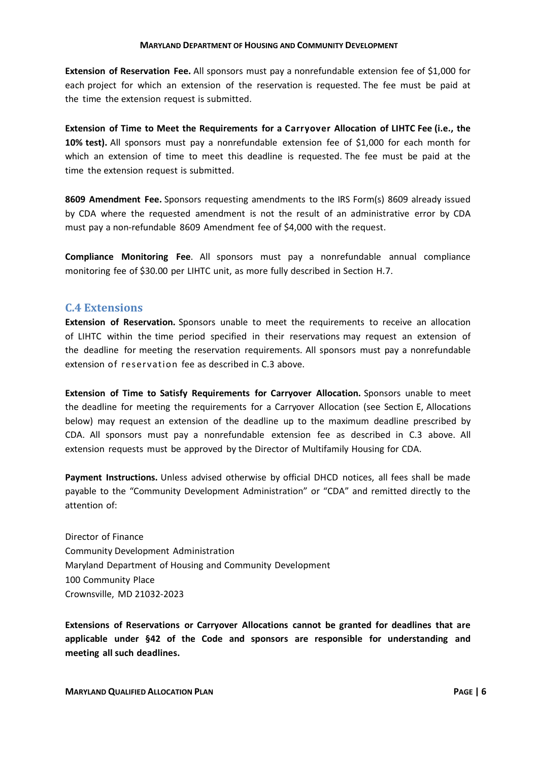**Extension of Reservation Fee.** All sponsors must pay a nonrefundable extension fee of \$1,000 for each project for which an extension of the reservation is requested. The fee must be paid at the time the extension request is submitted.

**Extension of Time to Meet the Requirements for a Carryover Allocation of LIHTC Fee (i.e., the 10% test).** All sponsors must pay a nonrefundable extension fee of \$1,000 for each month for which an extension of time to meet this deadline is requested. The fee must be paid at the time the extension request is submitted.

**8609 Amendment Fee.** Sponsors requesting amendments to the IRS Form(s) 8609 already issued by CDA where the requested amendment is not the result of an administrative error by CDA must pay a non-refundable 8609 Amendment fee of \$4,000 with the request.

**Compliance Monitoring Fee**. All sponsors must pay a nonrefundable annual compliance monitoring fee of \$30.00 per LIHTC unit, as more fully described in Section H.7.

#### <span id="page-8-0"></span>**C.4 Extensions**

**Extension of Reservation.** Sponsors unable to meet the requirements to receive an allocation of LIHTC within the time period specified in their reservations may request an extension of the deadline for meeting the reservation requirements. All sponsors must pay a nonrefundable extension of reservation fee as described in C.3 above.

**Extension of Time to Satisfy Requirements for Carryover Allocation.** Sponsors unable to meet the deadline for meeting the requirements for a Carryover Allocation (see Section E, Allocations below) may request an extension of the deadline up to the maximum deadline prescribed by CDA. All sponsors must pay a nonrefundable extension fee as described in C.3 above. All extension requests must be approved by the Director of Multifamily Housing for CDA.

**Payment Instructions.** Unless advised otherwise by official DHCD notices, all fees shall be made payable to the "Community Development Administration" or "CDA" and remitted directly to the attention of:

Director of Finance Community Development Administration Maryland Department of Housing and Community Development 100 Community Place Crownsville, MD 21032-2023

**Extensions of Reservations or Carryover Allocations cannot be granted for deadlines that are applicable under §42 of the Code and sponsors are responsible for understanding and meeting all such deadlines.**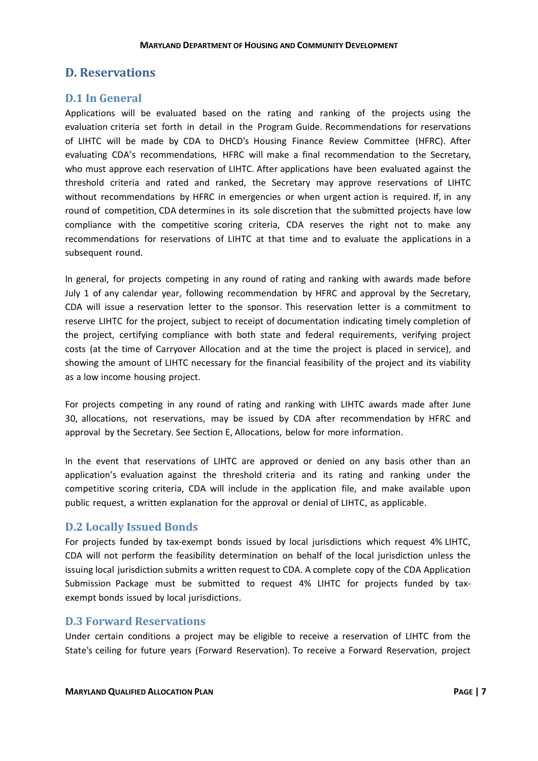#### <span id="page-9-0"></span>**D. Reservations**

#### <span id="page-9-1"></span>**D.1 In General**

Applications will be evaluated based on the rating and ranking of the projects using the evaluation criteria set forth in detail in the Program Guide. Recommendations for reservations of LIHTC will be made by CDA to DHCD's Housing Finance Review Committee (HFRC). After evaluating CDA's recommendations, HFRC will make a final recommendation to the Secretary, who must approve each reservation of LIHTC. After applications have been evaluated against the threshold criteria and rated and ranked, the Secretary may approve reservations of LIHTC without recommendations by HFRC in emergencies or when urgent action is required. If, in any round of competition, CDA determines in its sole discretion that the submitted projects have low compliance with the competitive scoring criteria, CDA reserves the right not to make any recommendations for reservations of LIHTC at that time and to evaluate the applications in a subsequent round.

In general, for projects competing in any round of rating and ranking with awards made before July 1 of any calendar year, following recommendation by HFRC and approval by the Secretary, CDA will issue a reservation letter to the sponsor. This reservation letter is a commitment to reserve LIHTC for the project, subject to receipt of documentation indicating timely completion of the project, certifying compliance with both state and federal requirements, verifying project costs (at the time of Carryover Allocation and at the time the project is placed in service), and showing the amount of LIHTC necessary for the financial feasibility of the project and its viability as a low income housing project.

For projects competing in any round of rating and ranking with LIHTC awards made after June 30, allocations, not reservations, may be issued by CDA after recommendation by HFRC and approval by the Secretary. See Section E, Allocations, below for more information.

In the event that reservations of LIHTC are approved or denied on any basis other than an application's evaluation against the threshold criteria and its rating and ranking under the competitive scoring criteria, CDA will include in the application file, and make available upon public request, a written explanation for the approval or denial of LIHTC, as applicable.

#### <span id="page-9-2"></span>**D.2 Locally Issued Bonds**

For projects funded by tax-exempt bonds issued by local jurisdictions which request 4% LIHTC, CDA will not perform the feasibility determination on behalf of the local jurisdiction unless the issuing local jurisdiction submits a written request to CDA. A complete copy of the CDA Application Submission Package must be submitted to request 4% LIHTC for projects funded by taxexempt bonds issued by local jurisdictions.

#### <span id="page-9-3"></span>**D.3 Forward Reservations**

Under certain conditions a project may be eligible to receive a reservation of LIHTC from the State's ceiling for future years (Forward Reservation). To receive a Forward Reservation, project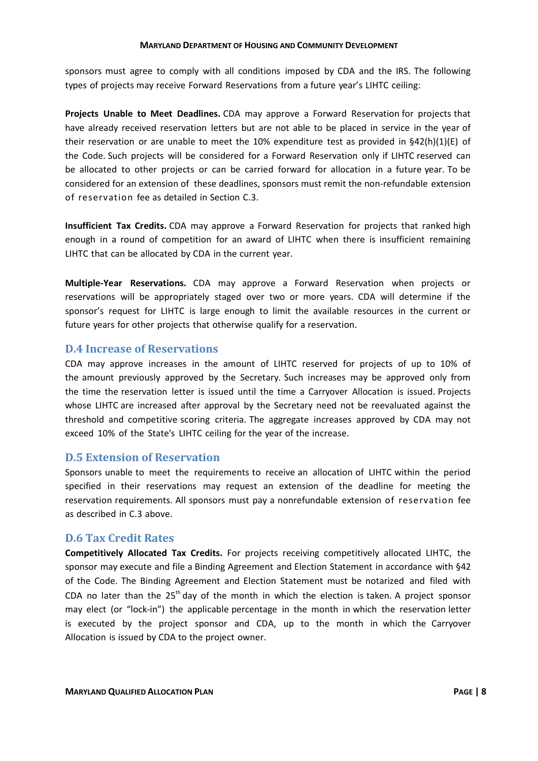sponsors must agree to comply with all conditions imposed by CDA and the IRS. The following types of projects may receive Forward Reservations from a future year's LIHTC ceiling:

**Projects Unable to Meet Deadlines.** CDA may approve a Forward Reservation for projects that have already received reservation letters but are not able to be placed in service in the year of their reservation or are unable to meet the 10% expenditure test as provided in  $\frac{642(h)(1)(E)}{2}$  of the Code. Such projects will be considered for a Forward Reservation only if LIHTC reserved can be allocated to other projects or can be carried forward for allocation in a future year. To be considered for an extension of these deadlines, sponsors must remit the non-refundable extension of reservation fee as detailed in Section C.3.

**Insufficient Tax Credits.** CDA may approve a Forward Reservation for projects that ranked high enough in a round of competition for an award of LIHTC when there is insufficient remaining LIHTC that can be allocated by CDA in the current year.

**Multiple-Year Reservations.** CDA may approve a Forward Reservation when projects or reservations will be appropriately staged over two or more years. CDA will determine if the sponsor's request for LIHTC is large enough to limit the available resources in the current or future years for other projects that otherwise qualify for a reservation.

#### <span id="page-10-0"></span>**D.4 Increase of Reservations**

CDA may approve increases in the amount of LIHTC reserved for projects of up to 10% of the amount previously approved by the Secretary. Such increases may be approved only from the time the reservation letter is issued until the time a Carryover Allocation is issued. Projects whose LIHTC are increased after approval by the Secretary need not be reevaluated against the threshold and competitive scoring criteria. The aggregate increases approved by CDA may not exceed 10% of the State's LIHTC ceiling for the year of the increase.

#### <span id="page-10-1"></span>**D.5 Extension of Reservation**

Sponsors unable to meet the requirements to receive an allocation of LIHTC within the period specified in their reservations may request an extension of the deadline for meeting the reservation requirements. All sponsors must pay a nonrefundable extension of reservation fee as described in C.3 above.

#### <span id="page-10-2"></span>**D.6 Tax Credit Rates**

**Competitively Allocated Tax Credits.** For projects receiving competitively allocated LIHTC, the sponsor may execute and file a Binding Agreement and Election Statement in accordance with §42 of the Code. The Binding Agreement and Election Statement must be notarized and filed with CDA no later than the  $25<sup>th</sup>$  day of the month in which the election is taken. A project sponsor may elect (or "lock-in") the applicable percentage in the month in which the reservation letter is executed by the project sponsor and CDA, up to the month in which the Carryover Allocation is issued by CDA to the project owner.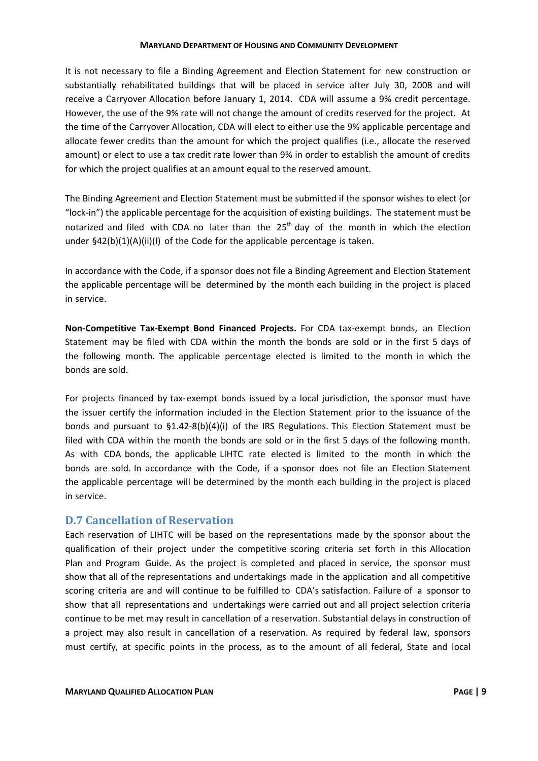It is not necessary to file a Binding Agreement and Election Statement for new construction or substantially rehabilitated buildings that will be placed in service after July 30, 2008 and will receive a Carryover Allocation before January 1, 2014. CDA will assume a 9% credit percentage. However, the use of the 9% rate will not change the amount of credits reserved for the project. At the time of the Carryover Allocation, CDA will elect to either use the 9% applicable percentage and allocate fewer credits than the amount for which the project qualifies (i.e., allocate the reserved amount) or elect to use a tax credit rate lower than 9% in order to establish the amount of credits for which the project qualifies at an amount equal to the reserved amount.

The Binding Agreement and Election Statement must be submitted if the sponsor wishes to elect (or "lock-in") the applicable percentage for the acquisition of existing buildings. The statement must be notarized and filed with CDA no later than the  $25<sup>th</sup>$  day of the month in which the election under §42(b)(1)(A)(ii)(I) of the Code for the applicable percentage is taken.

In accordance with the Code, if a sponsor does not file a Binding Agreement and Election Statement the applicable percentage will be determined by the month each building in the project is placed in service.

**Non-Competitive Tax-Exempt Bond Financed Projects.** For CDA tax-exempt bonds, an Election Statement may be filed with CDA within the month the bonds are sold or in the first 5 days of the following month. The applicable percentage elected is limited to the month in which the bonds are sold.

For projects financed by tax-exempt bonds issued by a local jurisdiction, the sponsor must have the issuer certify the information included in the Election Statement prior to the issuance of the bonds and pursuant to §1.42-8(b)(4)(i) of the IRS Regulations. This Election Statement must be filed with CDA within the month the bonds are sold or in the first 5 days of the following month. As with CDA bonds, the applicable LIHTC rate elected is limited to the month in which the bonds are sold. In accordance with the Code, if a sponsor does not file an Election Statement the applicable percentage will be determined by the month each building in the project is placed in service.

#### <span id="page-11-0"></span>**D.7 Cancellation of Reservation**

Each reservation of LIHTC will be based on the representations made by the sponsor about the qualification of their project under the competitive scoring criteria set forth in this Allocation Plan and Program Guide. As the project is completed and placed in service, the sponsor must show that all of the representations and undertakings made in the application and all competitive scoring criteria are and will continue to be fulfilled to CDA's satisfaction. Failure of a sponsor to show that all representations and undertakings were carried out and all project selection criteria continue to be met may result in cancellation of a reservation. Substantial delays in construction of a project may also result in cancellation of a reservation. As required by federal law, sponsors must certify, at specific points in the process, as to the amount of all federal, State and local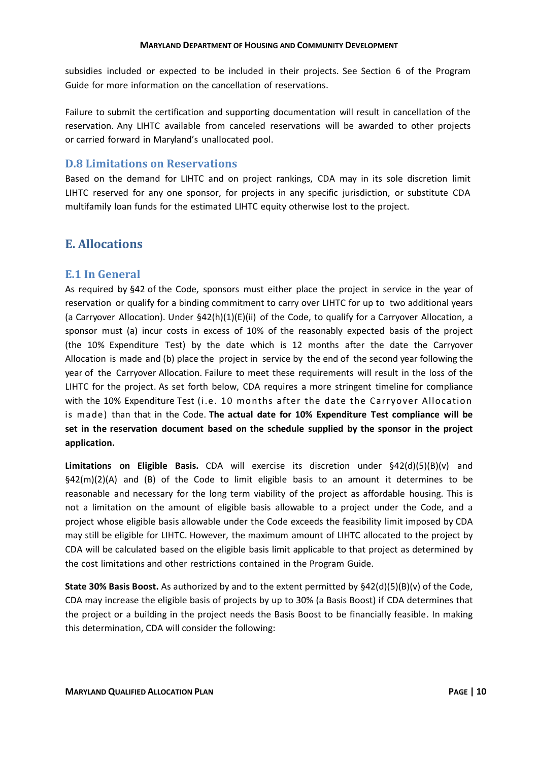subsidies included or expected to be included in their projects. See Section 6 of the Program Guide for more information on the cancellation of reservations.

Failure to submit the certification and supporting documentation will result in cancellation of the reservation. Any LIHTC available from canceled reservations will be awarded to other projects or carried forward in Maryland's unallocated pool.

#### <span id="page-12-0"></span>**D.8 Limitations on Reservations**

Based on the demand for LIHTC and on project rankings, CDA may in its sole discretion limit LIHTC reserved for any one sponsor, for projects in any specific jurisdiction, or substitute CDA multifamily loan funds for the estimated LIHTC equity otherwise lost to the project.

#### <span id="page-12-1"></span>**E. Allocations**

#### <span id="page-12-2"></span>**E.1 In General**

As required by §42 of the Code, sponsors must either place the project in service in the year of reservation or qualify for a binding commitment to carry over LIHTC for up to two additional years (a Carryover Allocation). Under §42(h)(1)(E)(ii) of the Code, to qualify for a Carryover Allocation, a sponsor must (a) incur costs in excess of 10% of the reasonably expected basis of the project (the 10% Expenditure Test) by the date which is 12 months after the date the Carryover Allocation is made and (b) place the project in service by the end of the second year following the year of the Carryover Allocation. Failure to meet these requirements will result in the loss of the LIHTC for the project. As set forth below, CDA requires a more stringent timeline for compliance with the 10% Expenditure Test (i.e. 10 months after the date the Carryover Allocation is made) than that in the Code. **The actual date for 10% Expenditure Test compliance will be set in the reservation document based on the schedule supplied by the sponsor in the project application.**

**Limitations on Eligible Basis.** CDA will exercise its discretion under §42(d)(5)(B)(v) and  $\frac{642(m)(2)}{A}$  and (B) of the Code to limit eligible basis to an amount it determines to be reasonable and necessary for the long term viability of the project as affordable housing. This is not a limitation on the amount of eligible basis allowable to a project under the Code, and a project whose eligible basis allowable under the Code exceeds the feasibility limit imposed by CDA may still be eligible for LIHTC. However, the maximum amount of LIHTC allocated to the project by CDA will be calculated based on the eligible basis limit applicable to that project as determined by the cost limitations and other restrictions contained in the Program Guide.

**State 30% Basis Boost.** As authorized by and to the extent permitted by §42(d)(5)(B)(v) of the Code, CDA may increase the eligible basis of projects by up to 30% (a Basis Boost) if CDA determines that the project or a building in the project needs the Basis Boost to be financially feasible. In making this determination, CDA will consider the following: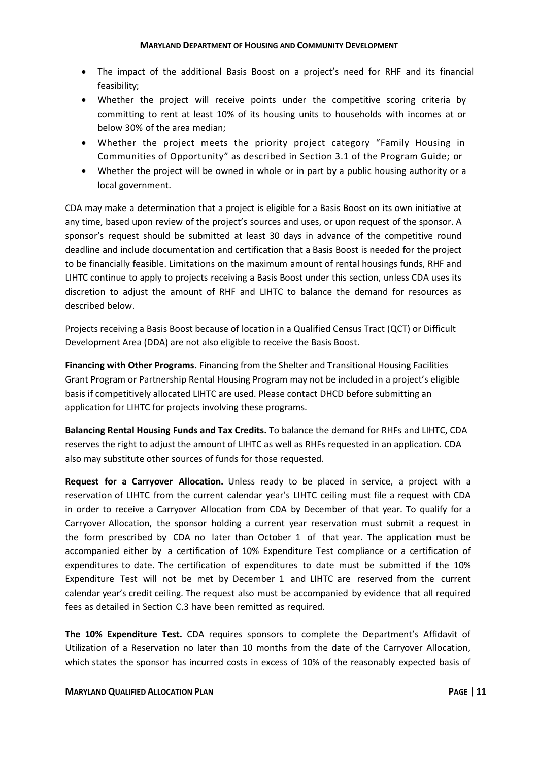- The impact of the additional Basis Boost on a project's need for RHF and its financial feasibility;
- Whether the project will receive points under the competitive scoring criteria by committing to rent at least 10% of its housing units to households with incomes at or below 30% of the area median;
- Whether the project meets the priority project category "Family Housing in Communities of Opportunity" as described in Section 3.1 of the Program Guide; or
- Whether the project will be owned in whole or in part by a public housing authority or a local government.

CDA may make a determination that a project is eligible for a Basis Boost on its own initiative at any time, based upon review of the project's sources and uses, or upon request of the sponsor. A sponsor's request should be submitted at least 30 days in advance of the competitive round deadline and include documentation and certification that a Basis Boost is needed for the project to be financially feasible. Limitations on the maximum amount of rental housings funds, RHF and LIHTC continue to apply to projects receiving a Basis Boost under this section, unless CDA uses its discretion to adjust the amount of RHF and LIHTC to balance the demand for resources as described below.

Projects receiving a Basis Boost because of location in a Qualified Census Tract (QCT) or Difficult Development Area (DDA) are not also eligible to receive the Basis Boost.

**Financing with Other Programs.** Financing from the Shelter and Transitional Housing Facilities Grant Program or Partnership Rental Housing Program may not be included in a project's eligible basis if competitively allocated LIHTC are used. Please contact DHCD before submitting an application for LIHTC for projects involving these programs.

**Balancing Rental Housing Funds and Tax Credits.** To balance the demand for RHFs and LIHTC, CDA reserves the right to adjust the amount of LIHTC as well as RHFs requested in an application. CDA also may substitute other sources of funds for those requested.

**Request for a Carryover Allocation.** Unless ready to be placed in service, a project with a reservation of LIHTC from the current calendar year's LIHTC ceiling must file a request with CDA in order to receive a Carryover Allocation from CDA by December of that year. To qualify for a Carryover Allocation, the sponsor holding a current year reservation must submit a request in the form prescribed by CDA no later than October 1 of that year. The application must be accompanied either by a certification of 10% Expenditure Test compliance or a certification of expenditures to date. The certification of expenditures to date must be submitted if the 10% Expenditure Test will not be met by December 1 and LIHTC are reserved from the current calendar year's credit ceiling. The request also must be accompanied by evidence that all required fees as detailed in Section C.3 have been remitted as required.

**The 10% Expenditure Test.** CDA requires sponsors to complete the Department's Affidavit of Utilization of a Reservation no later than 10 months from the date of the Carryover Allocation, which states the sponsor has incurred costs in excess of 10% of the reasonably expected basis of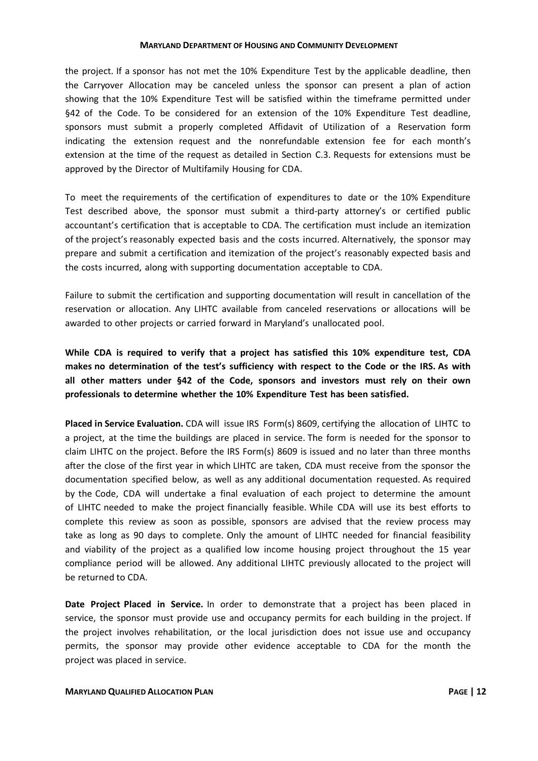the project. If a sponsor has not met the 10% Expenditure Test by the applicable deadline, then the Carryover Allocation may be canceled unless the sponsor can present a plan of action showing that the 10% Expenditure Test will be satisfied within the timeframe permitted under §42 of the Code. To be considered for an extension of the 10% Expenditure Test deadline, sponsors must submit a properly completed Affidavit of Utilization of a Reservation form indicating the extension request and the nonrefundable extension fee for each month's extension at the time of the request as detailed in Section C.3. Requests for extensions must be approved by the Director of Multifamily Housing for CDA.

To meet the requirements of the certification of expenditures to date or the 10% Expenditure Test described above, the sponsor must submit a third-party attorney's or certified public accountant's certification that is acceptable to CDA. The certification must include an itemization of the project's reasonably expected basis and the costs incurred. Alternatively, the sponsor may prepare and submit a certification and itemization of the project's reasonably expected basis and the costs incurred, along with supporting documentation acceptable to CDA.

Failure to submit the certification and supporting documentation will result in cancellation of the reservation or allocation. Any LIHTC available from canceled reservations or allocations will be awarded to other projects or carried forward in Maryland's unallocated pool.

**While CDA is required to verify that a project has satisfied this 10% expenditure test, CDA makes no determination of the test's sufficiency with respect to the Code or the IRS. As with all other matters under §42 of the Code, sponsors and investors must rely on their own professionals to determine whether the 10% Expenditure Test has been satisfied.**

**Placed in Service Evaluation.** CDA will issue IRS Form(s) 8609, certifying the allocation of LIHTC to a project, at the time the buildings are placed in service. The form is needed for the sponsor to claim LIHTC on the project. Before the IRS Form(s) 8609 is issued and no later than three months after the close of the first year in which LIHTC are taken, CDA must receive from the sponsor the documentation specified below, as well as any additional documentation requested. As required by the Code, CDA will undertake a final evaluation of each project to determine the amount of LIHTC needed to make the project financially feasible. While CDA will use its best efforts to complete this review as soon as possible, sponsors are advised that the review process may take as long as 90 days to complete. Only the amount of LIHTC needed for financial feasibility and viability of the project as a qualified low income housing project throughout the 15 year compliance period will be allowed. Any additional LIHTC previously allocated to the project will be returned to CDA.

**Date Project Placed in Service.** In order to demonstrate that a project has been placed in service, the sponsor must provide use and occupancy permits for each building in the project. If the project involves rehabilitation, or the local jurisdiction does not issue use and occupancy permits, the sponsor may provide other evidence acceptable to CDA for the month the project was placed in service.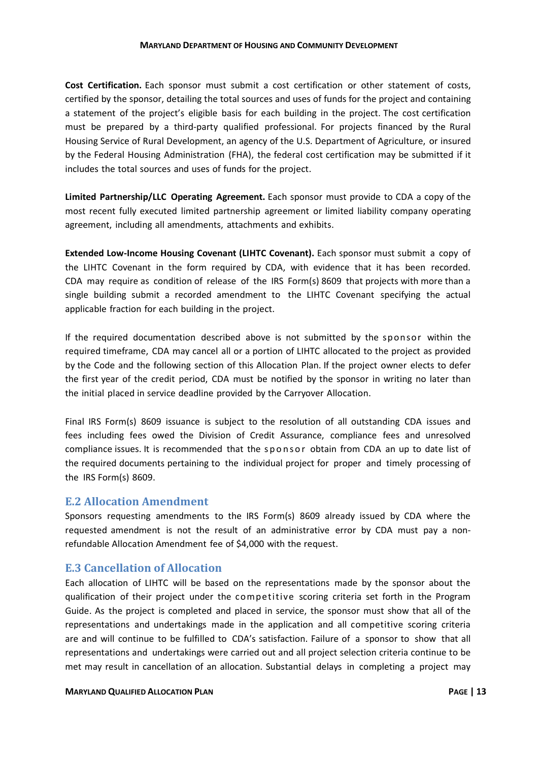**Cost Certification.** Each sponsor must submit a cost certification or other statement of costs, certified by the sponsor, detailing the total sources and uses of funds for the project and containing a statement of the project's eligible basis for each building in the project. The cost certification must be prepared by a third-party qualified professional. For projects financed by the Rural Housing Service of Rural Development, an agency of the U.S. Department of Agriculture, or insured by the Federal Housing Administration (FHA), the federal cost certification may be submitted if it includes the total sources and uses of funds for the project.

**Limited Partnership/LLC Operating Agreement.** Each sponsor must provide to CDA a copy of the most recent fully executed limited partnership agreement or limited liability company operating agreement, including all amendments, attachments and exhibits.

**Extended Low-Income Housing Covenant (LIHTC Covenant).** Each sponsor must submit a copy of the LIHTC Covenant in the form required by CDA, with evidence that it has been recorded. CDA may require as condition of release of the IRS Form(s) 8609 that projects with more than a single building submit a recorded amendment to the LIHTC Covenant specifying the actual applicable fraction for each building in the project.

If the required documentation described above is not submitted by the sponsor within the required timeframe, CDA may cancel all or a portion of LIHTC allocated to the project as provided by the Code and the following section of this Allocation Plan. If the project owner elects to defer the first year of the credit period, CDA must be notified by the sponsor in writing no later than the initial placed in service deadline provided by the Carryover Allocation.

Final IRS Form(s) 8609 issuance is subject to the resolution of all outstanding CDA issues and fees including fees owed the Division of Credit Assurance, compliance fees and unresolved compliance issues. It is recommended that the sponsor obtain from CDA an up to date list of the required documents pertaining to the individual project for proper and timely processing of the IRS Form(s) 8609.

#### <span id="page-15-0"></span>**E.2 Allocation Amendment**

Sponsors requesting amendments to the IRS Form(s) 8609 already issued by CDA where the requested amendment is not the result of an administrative error by CDA must pay a nonrefundable Allocation Amendment fee of \$4,000 with the request.

#### <span id="page-15-1"></span>**E.3 Cancellation of Allocation**

Each allocation of LIHTC will be based on the representations made by the sponsor about the qualification of their project under the competitive scoring criteria set forth in the Program Guide. As the project is completed and placed in service, the sponsor must show that all of the representations and undertakings made in the application and all competitive scoring criteria are and will continue to be fulfilled to CDA's satisfaction. Failure of a sponsor to show that all representations and undertakings were carried out and all project selection criteria continue to be met may result in cancellation of an allocation. Substantial delays in completing a project may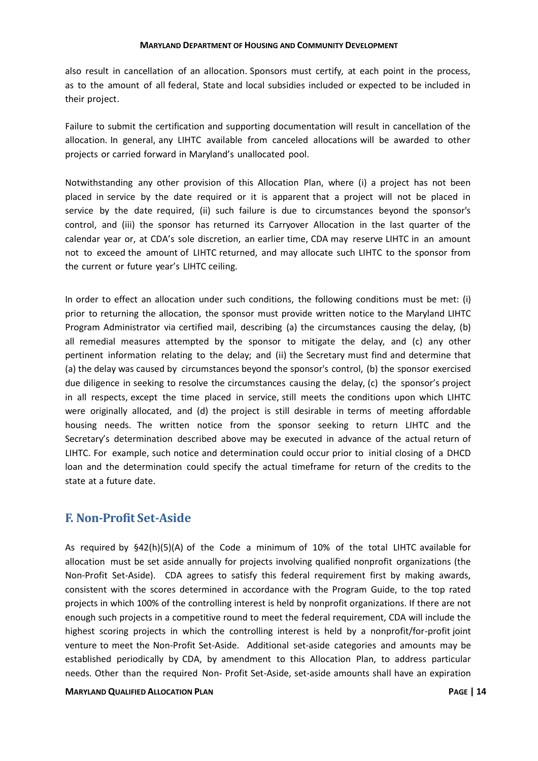also result in cancellation of an allocation. Sponsors must certify, at each point in the process, as to the amount of all federal, State and local subsidies included or expected to be included in their project.

Failure to submit the certification and supporting documentation will result in cancellation of the allocation. In general, any LIHTC available from canceled allocations will be awarded to other projects or carried forward in Maryland's unallocated pool.

Notwithstanding any other provision of this Allocation Plan, where (i) a project has not been placed in service by the date required or it is apparent that a project will not be placed in service by the date required, (ii) such failure is due to circumstances beyond the sponsor's control, and (iii) the sponsor has returned its Carryover Allocation in the last quarter of the calendar year or, at CDA's sole discretion, an earlier time, CDA may reserve LIHTC in an amount not to exceed the amount of LIHTC returned, and may allocate such LIHTC to the sponsor from the current or future year's LIHTC ceiling.

In order to effect an allocation under such conditions, the following conditions must be met: (i) prior to returning the allocation, the sponsor must provide written notice to the Maryland LIHTC Program Administrator via certified mail, describing (a) the circumstances causing the delay, (b) all remedial measures attempted by the sponsor to mitigate the delay, and (c) any other pertinent information relating to the delay; and (ii) the Secretary must find and determine that (a) the delay was caused by circumstances beyond the sponsor's control, (b) the sponsor exercised due diligence in seeking to resolve the circumstances causing the delay, (c) the sponsor's project in all respects, except the time placed in service, still meets the conditions upon which LIHTC were originally allocated, and (d) the project is still desirable in terms of meeting affordable housing needs. The written notice from the sponsor seeking to return LIHTC and the Secretary's determination described above may be executed in advance of the actual return of LIHTC. For example, such notice and determination could occur prior to initial closing of a DHCD loan and the determination could specify the actual timeframe for return of the credits to the state at a future date.

#### <span id="page-16-0"></span>**F. Non-Profit Set-Aside**

As required by §42(h)(5)(A) of the Code a minimum of 10% of the total LIHTC available for allocation must be set aside annually for projects involving qualified nonprofit organizations (the Non-Profit Set-Aside). CDA agrees to satisfy this federal requirement first by making awards, consistent with the scores determined in accordance with the Program Guide, to the top rated projects in which 100% of the controlling interest is held by nonprofit organizations. If there are not enough such projects in a competitive round to meet the federal requirement, CDA will include the highest scoring projects in which the controlling interest is held by a nonprofit/for-profit joint venture to meet the Non-Profit Set-Aside. Additional set-aside categories and amounts may be established periodically by CDA, by amendment to this Allocation Plan, to address particular needs. Other than the required Non- Profit Set-Aside, set-aside amounts shall have an expiration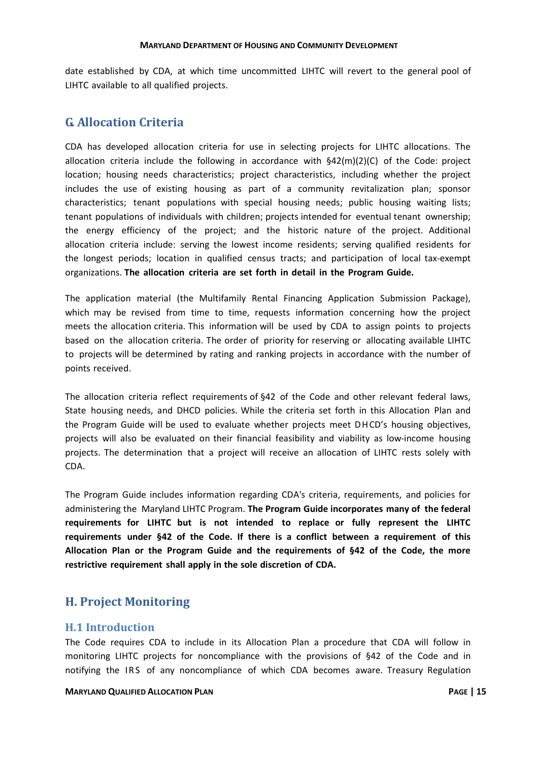date established by CDA, at which time uncommitted LIHTC will revert to the general pool of LIHTC available to all qualified projects.

## <span id="page-17-0"></span>**G. Allocation Criteria**

CDA has developed allocation criteria for use in selecting projects for LIHTC allocations. The allocation criteria include the following in accordance with §42(m)(2)(C) of the Code: project location; housing needs characteristics; project characteristics, including whether the project includes the use of existing housing as part of a community revitalization plan; sponsor characteristics; tenant populations with special housing needs; public housing waiting lists; tenant populations of individuals with children; projects intended for eventual tenant ownership; the energy efficiency of the project; and the historic nature of the project. Additional allocation criteria include: serving the lowest income residents; serving qualified residents for the longest periods; location in qualified census tracts; and participation of local tax-exempt organizations. **The allocation criteria are set forth in detail in the Program Guide.**

The application material (the Multifamily Rental Financing Application Submission Package), which may be revised from time to time, requests information concerning how the project meets the allocation criteria. This information will be used by CDA to assign points to projects based on the allocation criteria. The order of priority for reserving or allocating available LIHTC to projects will be determined by rating and ranking projects in accordance with the number of points received.

The allocation criteria reflect requirements of §42 of the Code and other relevant federal laws, State housing needs, and DHCD policies. While the criteria set forth in this Allocation Plan and the Program Guide will be used to evaluate whether projects meet D HCD's housing objectives, projects will also be evaluated on their financial feasibility and viability as low-income housing projects. The determination that a project will receive an allocation of LIHTC rests solely with CDA.

The Program Guide includes information regarding CDA's criteria, requirements, and policies for administering the Maryland LIHTC Program. **The Program Guide incorporates many of the federal requirements for LIHTC but is not intended to replace or fully represent the LIHTC requirements under §42 of the Code. If there is a conflict between a requirement of this Allocation Plan or the Program Guide and the requirements of §42 of the Code, the more restrictive requirement shall apply in the sole discretion of CDA.**

## <span id="page-17-1"></span>**H. Project Monitoring**

#### <span id="page-17-2"></span>**H.1 Introduction**

The Code requires CDA to include in its Allocation Plan a procedure that CDA will follow in monitoring LIHTC projects for noncompliance with the provisions of §42 of the Code and in notifying the IRS of any noncompliance of which CDA becomes aware. Treasury Regulation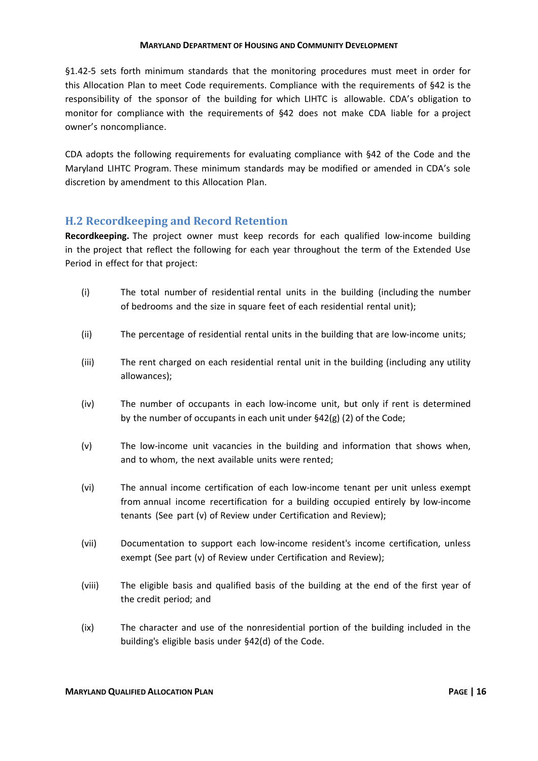§1.42-5 sets forth minimum standards that the monitoring procedures must meet in order for this Allocation Plan to meet Code requirements. Compliance with the requirements of §42 is the responsibility of the sponsor of the building for which LIHTC is allowable. CDA's obligation to monitor for compliance with the requirements of §42 does not make CDA liable for a project owner's noncompliance.

CDA adopts the following requirements for evaluating compliance with §42 of the Code and the Maryland LIHTC Program. These minimum standards may be modified or amended in CDA's sole discretion by amendment to this Allocation Plan.

#### <span id="page-18-0"></span>**H.2 Recordkeeping and Record Retention**

**Recordkeeping.** The project owner must keep records for each qualified low-income building in the project that reflect the following for each year throughout the term of the Extended Use Period in effect for that project:

- (i) The total number of residential rental units in the building (including the number of bedrooms and the size in square feet of each residential rental unit);
- (ii) The percentage of residential rental units in the building that are low-income units;
- (iii) The rent charged on each residential rental unit in the building (including any utility allowances);
- (iv) The number of occupants in each low-income unit, but only if rent is determined by the number of occupants in each unit under §42(g) (2) of the Code;
- (v) The low-income unit vacancies in the building and information that shows when, and to whom, the next available units were rented;
- (vi) The annual income certification of each low-income tenant per unit unless exempt from annual income recertification for a building occupied entirely by low-income tenants (See part (v) of Review under Certification and Review);
- (vii) Documentation to support each low-income resident's income certification, unless exempt (See part (v) of Review under Certification and Review);
- (viii) The eligible basis and qualified basis of the building at the end of the first year of the credit period; and
- (ix) The character and use of the nonresidential portion of the building included in the building's eligible basis under §42(d) of the Code.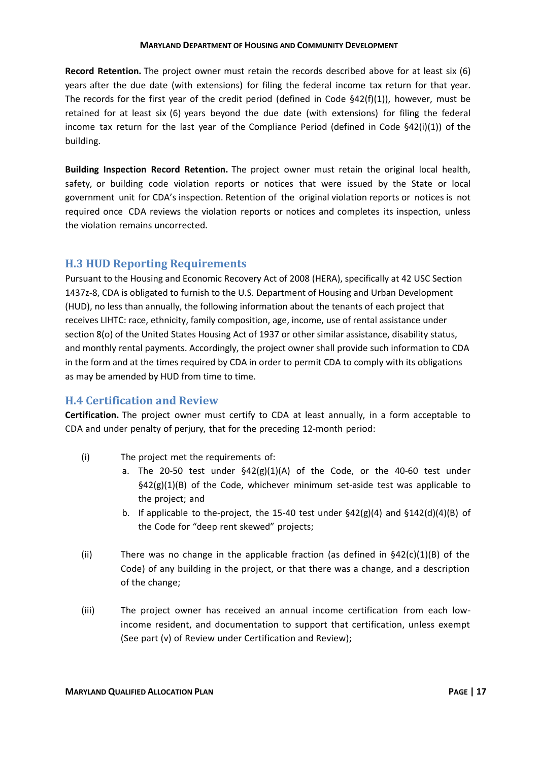**Record Retention.** The project owner must retain the records described above for at least six (6) years after the due date (with extensions) for filing the federal income tax return for that year. The records for the first year of the credit period (defined in Code  $\frac{642(f)(1)}{2}$ ), however, must be retained for at least six (6) years beyond the due date (with extensions) for filing the federal income tax return for the last year of the Compliance Period (defined in Code §42(i)(1)) of the building.

**Building Inspection Record Retention.** The project owner must retain the original local health, safety, or building code violation reports or notices that were issued by the State or local government unit for CDA's inspection. Retention of the original violation reports or notices is not required once CDA reviews the violation reports or notices and completes its inspection, unless the violation remains uncorrected.

#### <span id="page-19-0"></span>**H.3 HUD Reporting Requirements**

Pursuant to the Housing and Economic Recovery Act of 2008 (HERA), specifically at 42 USC Section 1437z-8, CDA is obligated to furnish to the U.S. Department of Housing and Urban Development (HUD), no less than annually, the following information about the tenants of each project that receives LIHTC: race, ethnicity, family composition, age, income, use of rental assistance under section 8(o) of the United States Housing Act of 1937 or other similar assistance, disability status, and monthly rental payments. Accordingly, the project owner shall provide such information to CDA in the form and at the times required by CDA in order to permit CDA to comply with its obligations as may be amended by HUD from time to time.

#### <span id="page-19-1"></span>**H.4 Certification and Review**

**Certification.** The project owner must certify to CDA at least annually, in a form acceptable to CDA and under penalty of perjury, that for the preceding 12-month period:

- (i) The project met the requirements of:
	- a. The 20-50 test under  $\frac{642(g)(1)(A)}{2}$  of the Code, or the 40-60 test under  $\frac{642(g)(1)}{B}$  of the Code, whichever minimum set-aside test was applicable to the project; and
	- b. If applicable to the-project, the 15-40 test under  $\frac{642(g)(4)}{g}$  and  $\frac{5142(d)(4)(B)}{g}$  of the Code for "deep rent skewed" projects;
- (ii) There was no change in the applicable fraction (as defined in  $\S42(c)(1)(B)$  of the Code) of any building in the project, or that there was a change, and a description of the change;
- (iii) The project owner has received an annual income certification from each lowincome resident, and documentation to support that certification, unless exempt (See part (v) of Review under Certification and Review);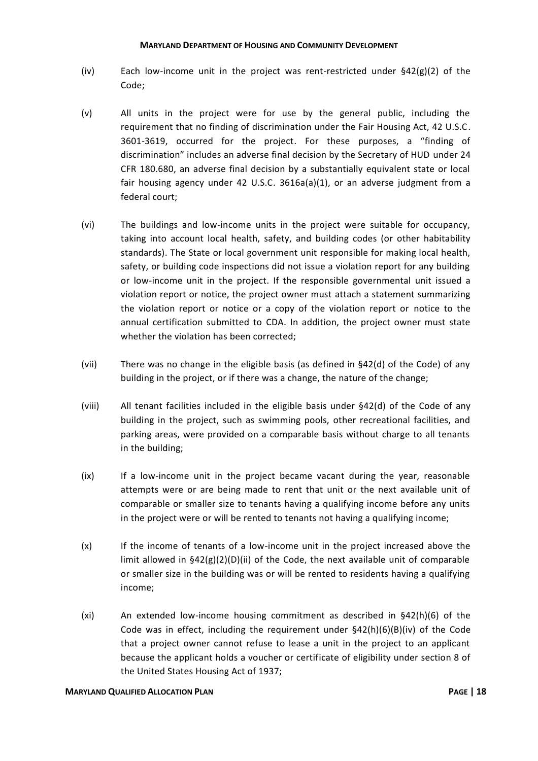- (iv) Each low-income unit in the project was rent-restricted under §42(g)(2) of the Code;
- (v) All units in the project were for use by the general public, including the requirement that no finding of discrimination under the Fair Housing Act, 42 U.S.C. 3601-3619, occurred for the project. For these purposes, a "finding of discrimination" includes an adverse final decision by the Secretary of HUD under 24 CFR 180.680, an adverse final decision by a substantially equivalent state or local fair housing agency under 42 U.S.C. 3616a(a)(1), or an adverse judgment from a federal court;
- (vi) The buildings and low-income units in the project were suitable for occupancy, taking into account local health, safety, and building codes (or other habitability standards). The State or local government unit responsible for making local health, safety, or building code inspections did not issue a violation report for any building or low-income unit in the project. If the responsible governmental unit issued a violation report or notice, the project owner must attach a statement summarizing the violation report or notice or a copy of the violation report or notice to the annual certification submitted to CDA. In addition, the project owner must state whether the violation has been corrected;
- (vii) There was no change in the eligible basis (as defined in §42(d) of the Code) of any building in the project, or if there was a change, the nature of the change;
- (viii) All tenant facilities included in the eligible basis under §42(d) of the Code of any building in the project, such as swimming pools, other recreational facilities, and parking areas, were provided on a comparable basis without charge to all tenants in the building;
- (ix) If a low-income unit in the project became vacant during the year, reasonable attempts were or are being made to rent that unit or the next available unit of comparable or smaller size to tenants having a qualifying income before any units in the project were or will be rented to tenants not having a qualifying income;
- (x) If the income of tenants of a low-income unit in the project increased above the limit allowed in  $\S42(g)(2)(D)(ii)$  of the Code, the next available unit of comparable or smaller size in the building was or will be rented to residents having a qualifying income;
- (xi) An extended low-income housing commitment as described in §42(h)(6) of the Code was in effect, including the requirement under  $\S42(h)(6)(B)(iv)$  of the Code that a project owner cannot refuse to lease a unit in the project to an applicant because the applicant holds a voucher or certificate of eligibility under section 8 of the United States Housing Act of 1937;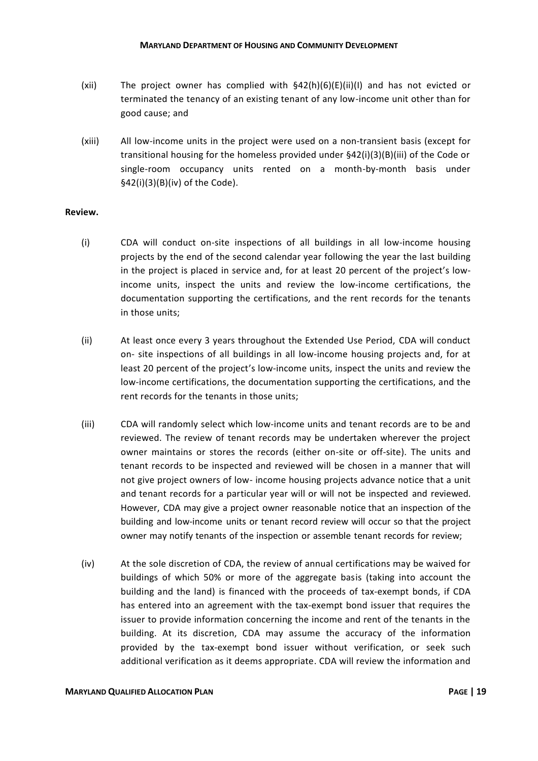- (xii) The project owner has complied with  $\frac{642(h)(6)(E)(ii)}{10}$  and has not evicted or terminated the tenancy of an existing tenant of any low-income unit other than for good cause; and
- (xiii) All low-income units in the project were used on a non-transient basis (except for transitional housing for the homeless provided under §42(i)(3)(B)(iii) of the Code or single-room occupancy units rented on a month-by-month basis under §42(i)(3)(B)(iv) of the Code).

#### **Review.**

- (i) CDA will conduct on-site inspections of all buildings in all low-income housing projects by the end of the second calendar year following the year the last building in the project is placed in service and, for at least 20 percent of the project's lowincome units, inspect the units and review the low-income certifications, the documentation supporting the certifications, and the rent records for the tenants in those units;
- (ii) At least once every 3 years throughout the Extended Use Period, CDA will conduct on- site inspections of all buildings in all low-income housing projects and, for at least 20 percent of the project's low-income units, inspect the units and review the low-income certifications, the documentation supporting the certifications, and the rent records for the tenants in those units;
- (iii) CDA will randomly select which low-income units and tenant records are to be and reviewed. The review of tenant records may be undertaken wherever the project owner maintains or stores the records (either on-site or off-site). The units and tenant records to be inspected and reviewed will be chosen in a manner that will not give project owners of low- income housing projects advance notice that a unit and tenant records for a particular year will or will not be inspected and reviewed. However, CDA may give a project owner reasonable notice that an inspection of the building and low-income units or tenant record review will occur so that the project owner may notify tenants of the inspection or assemble tenant records for review;
- (iv) At the sole discretion of CDA, the review of annual certifications may be waived for buildings of which 50% or more of the aggregate basis (taking into account the building and the land) is financed with the proceeds of tax-exempt bonds, if CDA has entered into an agreement with the tax-exempt bond issuer that requires the issuer to provide information concerning the income and rent of the tenants in the building. At its discretion, CDA may assume the accuracy of the information provided by the tax-exempt bond issuer without verification, or seek such additional verification as it deems appropriate. CDA will review the information and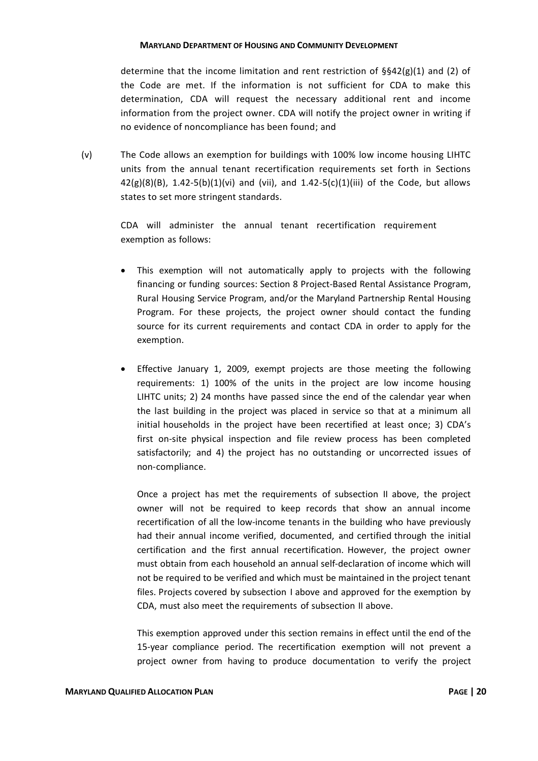determine that the income limitation and rent restriction of  $\S$ §42(g)(1) and (2) of the Code are met. If the information is not sufficient for CDA to make this determination, CDA will request the necessary additional rent and income information from the project owner. CDA will notify the project owner in writing if no evidence of noncompliance has been found; and

(v) The Code allows an exemption for buildings with 100% low income housing LIHTC units from the annual tenant recertification requirements set forth in Sections 42(g)(8)(B),  $1.42-5(b)(1)(vi)$  and (vii), and  $1.42-5(c)(1)(iii)$  of the Code, but allows states to set more stringent standards.

> CDA will administer the annual tenant recertification requirement exemption as follows:

- This exemption will not automatically apply to projects with the following financing or funding sources: Section 8 Project-Based Rental Assistance Program, Rural Housing Service Program, and/or the Maryland Partnership Rental Housing Program. For these projects, the project owner should contact the funding source for its current requirements and contact CDA in order to apply for the exemption.
- Effective January 1, 2009, exempt projects are those meeting the following requirements: 1) 100% of the units in the project are low income housing LIHTC units; 2) 24 months have passed since the end of the calendar year when the last building in the project was placed in service so that at a minimum all initial households in the project have been recertified at least once; 3) CDA's first on-site physical inspection and file review process has been completed satisfactorily; and 4) the project has no outstanding or uncorrected issues of non-compliance.

Once a project has met the requirements of subsection II above, the project owner will not be required to keep records that show an annual income recertification of all the low-income tenants in the building who have previously had their annual income verified, documented, and certified through the initial certification and the first annual recertification. However, the project owner must obtain from each household an annual self-declaration of income which will not be required to be verified and which must be maintained in the project tenant files. Projects covered by subsection I above and approved for the exemption by CDA, must also meet the requirements of subsection II above.

This exemption approved under this section remains in effect until the end of the 15-year compliance period. The recertification exemption will not prevent a project owner from having to produce documentation to verify the project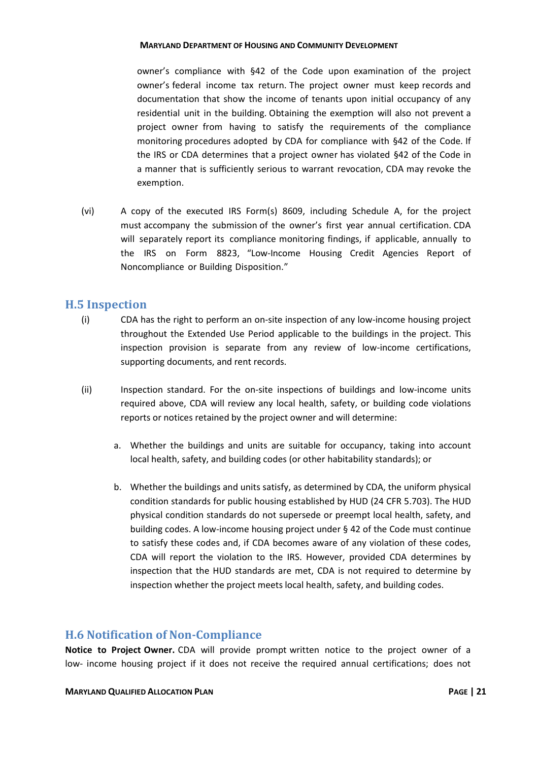owner's compliance with §42 of the Code upon examination of the project owner's federal income tax return. The project owner must keep records and documentation that show the income of tenants upon initial occupancy of any residential unit in the building. Obtaining the exemption will also not prevent a project owner from having to satisfy the requirements of the compliance monitoring procedures adopted by CDA for compliance with §42 of the Code. If the IRS or CDA determines that a project owner has violated §42 of the Code in a manner that is sufficiently serious to warrant revocation, CDA may revoke the exemption.

(vi) A copy of the executed IRS Form(s) 8609, including Schedule A, for the project must accompany the submission of the owner's first year annual certification. CDA will separately report its compliance monitoring findings, if applicable, annually to the IRS on Form 8823, "Low-Income Housing Credit Agencies Report of Noncompliance or Building Disposition."

#### <span id="page-23-0"></span>**H.5 Inspection**

- (i) CDA has the right to perform an on-site inspection of any low-income housing project throughout the Extended Use Period applicable to the buildings in the project. This inspection provision is separate from any review of low-income certifications, supporting documents, and rent records.
- (ii) Inspection standard. For the on-site inspections of buildings and low-income units required above, CDA will review any local health, safety, or building code violations reports or notices retained by the project owner and will determine:
	- a. Whether the buildings and units are suitable for occupancy, taking into account local health, safety, and building codes (or other habitability standards); or
	- b. Whether the buildings and units satisfy, as determined by CDA, the uniform physical condition standards for public housing established by HUD (24 CFR 5.703). The HUD physical condition standards do not supersede or preempt local health, safety, and building codes. A low-income housing project under § 42 of the Code must continue to satisfy these codes and, if CDA becomes aware of any violation of these codes, CDA will report the violation to the IRS. However, provided CDA determines by inspection that the HUD standards are met, CDA is not required to determine by inspection whether the project meets local health, safety, and building codes.

#### <span id="page-23-1"></span>**H.6 Notification of Non-Compliance**

**Notice to Project Owner.** CDA will provide prompt written notice to the project owner of a low- income housing project if it does not receive the required annual certifications; does not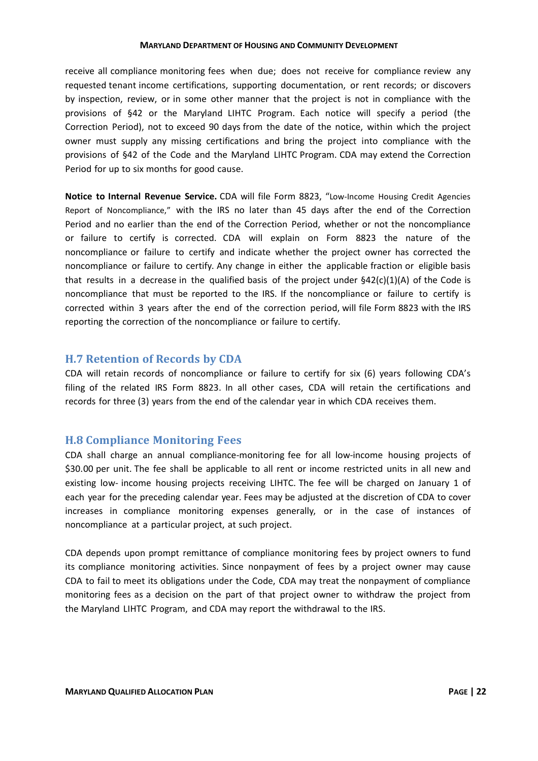receive all compliance monitoring fees when due; does not receive for compliance review any requested tenant income certifications, supporting documentation, or rent records; or discovers by inspection, review, or in some other manner that the project is not in compliance with the provisions of §42 or the Maryland LIHTC Program. Each notice will specify a period (the Correction Period), not to exceed 90 days from the date of the notice, within which the project owner must supply any missing certifications and bring the project into compliance with the provisions of §42 of the Code and the Maryland LIHTC Program. CDA may extend the Correction Period for up to six months for good cause.

**Notice to Internal Revenue Service.** CDA will file Form 8823, "Low-Income Housing Credit Agencies Report of Noncompliance," with the IRS no later than 45 days after the end of the Correction Period and no earlier than the end of the Correction Period, whether or not the noncompliance or failure to certify is corrected. CDA will explain on Form 8823 the nature of the noncompliance or failure to certify and indicate whether the project owner has corrected the noncompliance or failure to certify. Any change in either the applicable fraction or eligible basis that results in a decrease in the qualified basis of the project under  $\frac{642(c)(1)}{A}$  of the Code is noncompliance that must be reported to the IRS. If the noncompliance or failure to certify is corrected within 3 years after the end of the correction period, will file Form 8823 with the IRS reporting the correction of the noncompliance or failure to certify.

#### <span id="page-24-0"></span>**H.7 Retention of Records by CDA**

CDA will retain records of noncompliance or failure to certify for six (6) years following CDA's filing of the related IRS Form 8823. In all other cases, CDA will retain the certifications and records for three (3) years from the end of the calendar year in which CDA receives them.

#### <span id="page-24-1"></span>**H.8 Compliance Monitoring Fees**

CDA shall charge an annual compliance-monitoring fee for all low-income housing projects of \$30.00 per unit. The fee shall be applicable to all rent or income restricted units in all new and existing low- income housing projects receiving LIHTC. The fee will be charged on January 1 of each year for the preceding calendar year. Fees may be adjusted at the discretion of CDA to cover increases in compliance monitoring expenses generally, or in the case of instances of noncompliance at a particular project, at such project.

CDA depends upon prompt remittance of compliance monitoring fees by project owners to fund its compliance monitoring activities. Since nonpayment of fees by a project owner may cause CDA to fail to meet its obligations under the Code, CDA may treat the nonpayment of compliance monitoring fees as a decision on the part of that project owner to withdraw the project from the Maryland LIHTC Program, and CDA may report the withdrawal to the IRS.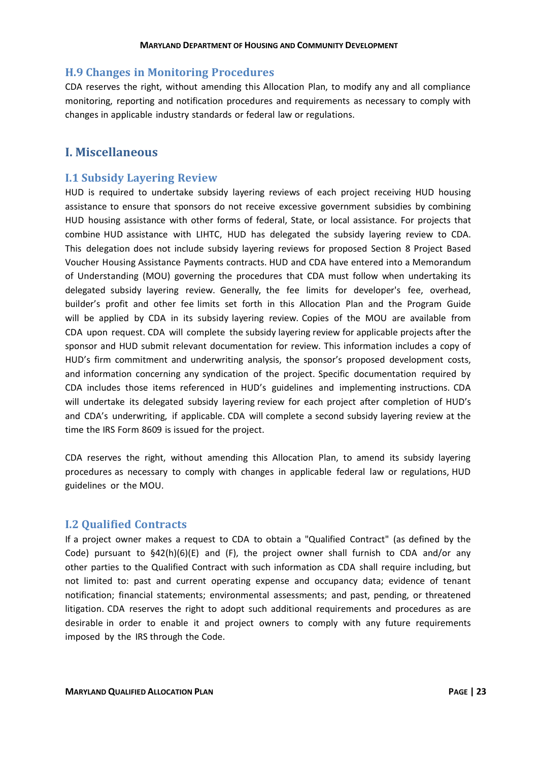#### <span id="page-25-0"></span>**H.9 Changes in Monitoring Procedures**

CDA reserves the right, without amending this Allocation Plan, to modify any and all compliance monitoring, reporting and notification procedures and requirements as necessary to comply with changes in applicable industry standards or federal law or regulations.

#### <span id="page-25-1"></span>**I. Miscellaneous**

#### <span id="page-25-2"></span>**I.1 Subsidy Layering Review**

HUD is required to undertake subsidy layering reviews of each project receiving HUD housing assistance to ensure that sponsors do not receive excessive government subsidies by combining HUD housing assistance with other forms of federal, State, or local assistance. For projects that combine HUD assistance with LIHTC, HUD has delegated the subsidy layering review to CDA. This delegation does not include subsidy layering reviews for proposed Section 8 Project Based Voucher Housing Assistance Payments contracts. HUD and CDA have entered into a Memorandum of Understanding (MOU) governing the procedures that CDA must follow when undertaking its delegated subsidy layering review. Generally, the fee limits for developer's fee, overhead, builder's profit and other fee limits set forth in this Allocation Plan and the Program Guide will be applied by CDA in its subsidy layering review. Copies of the MOU are available from CDA upon request. CDA will complete the subsidy layering review for applicable projects after the sponsor and HUD submit relevant documentation for review. This information includes a copy of HUD's firm commitment and underwriting analysis, the sponsor's proposed development costs, and information concerning any syndication of the project. Specific documentation required by CDA includes those items referenced in HUD's guidelines and implementing instructions. CDA will undertake its delegated subsidy layering review for each project after completion of HUD's and CDA's underwriting, if applicable. CDA will complete a second subsidy layering review at the time the IRS Form 8609 is issued for the project.

CDA reserves the right, without amending this Allocation Plan, to amend its subsidy layering procedures as necessary to comply with changes in applicable federal law or regulations, HUD guidelines or the MOU.

#### <span id="page-25-3"></span>**I.2 Qualified Contracts**

If a project owner makes a request to CDA to obtain a "Qualified Contract" (as defined by the Code) pursuant to  $\S42(h)(6)(E)$  and (F), the project owner shall furnish to CDA and/or any other parties to the Qualified Contract with such information as CDA shall require including, but not limited to: past and current operating expense and occupancy data; evidence of tenant notification; financial statements; environmental assessments; and past, pending, or threatened litigation. CDA reserves the right to adopt such additional requirements and procedures as are desirable in order to enable it and project owners to comply with any future requirements imposed by the IRS through the Code.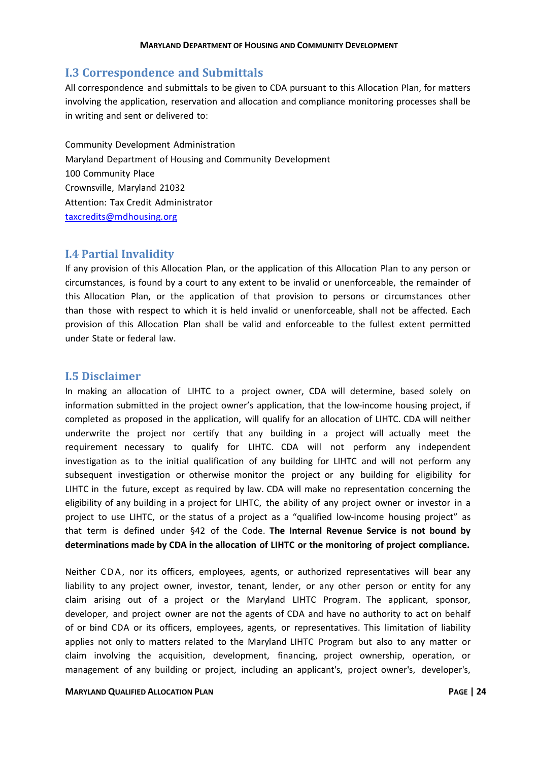#### <span id="page-26-0"></span>**I.3 Correspondence and Submittals**

All correspondence and submittals to be given to CDA pursuant to this Allocation Plan, for matters involving the application, reservation and allocation and compliance monitoring processes shall be in writing and sent or delivered to:

Community Development Administration Maryland Department of Housing and Community Development 100 Community Place Crownsville, Maryland 21032 Attention: Tax Credit Administrator [taxcredits@mdhousing.org](mailto:taxcredits@mdhousing.org)

#### <span id="page-26-1"></span>**I.4 Partial Invalidity**

If any provision of this Allocation Plan, or the application of this Allocation Plan to any person or circumstances, is found by a court to any extent to be invalid or unenforceable, the remainder of this Allocation Plan, or the application of that provision to persons or circumstances other than those with respect to which it is held invalid or unenforceable, shall not be affected. Each provision of this Allocation Plan shall be valid and enforceable to the fullest extent permitted under State or federal law.

#### <span id="page-26-2"></span>**I.5 Disclaimer**

In making an allocation of LIHTC to a project owner, CDA will determine, based solely on information submitted in the project owner's application, that the low-income housing project, if completed as proposed in the application, will qualify for an allocation of LIHTC. CDA will neither underwrite the project nor certify that any building in a project will actually meet the requirement necessary to qualify for LIHTC. CDA will not perform any independent investigation as to the initial qualification of any building for LIHTC and will not perform any subsequent investigation or otherwise monitor the project or any building for eligibility for LIHTC in the future, except as required by law. CDA will make no representation concerning the eligibility of any building in a project for LIHTC, the ability of any project owner or investor in a project to use LIHTC, or the status of a project as a "qualified low-income housing project" as that term is defined under §42 of the Code. **The Internal Revenue Service is not bound by determinations made by CDA in the allocation of LIHTC or the monitoring of project compliance.**

Neither CDA, nor its officers, employees, agents, or authorized representatives will bear any liability to any project owner, investor, tenant, lender, or any other person or entity for any claim arising out of a project or the Maryland LIHTC Program. The applicant, sponsor, developer, and project owner are not the agents of CDA and have no authority to act on behalf of or bind CDA or its officers, employees, agents, or representatives. This limitation of liability applies not only to matters related to the Maryland LIHTC Program but also to any matter or claim involving the acquisition, development, financing, project ownership, operation, or management of any building or project, including an applicant's, project owner's, developer's,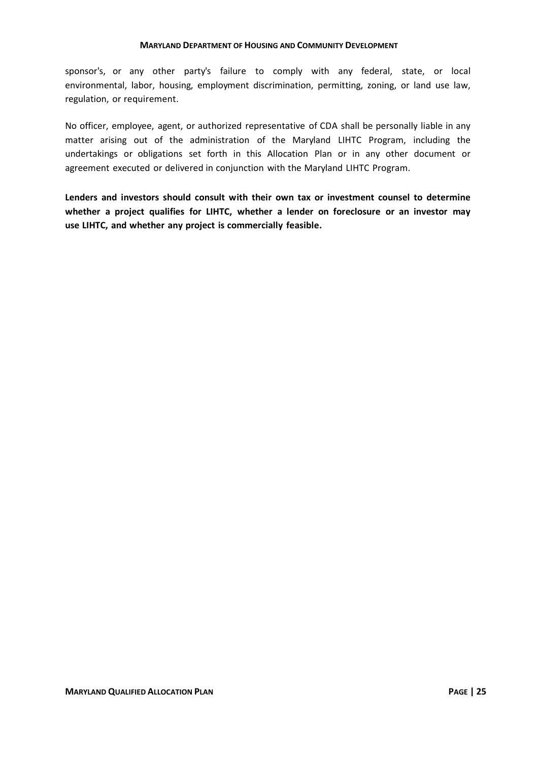sponsor's, or any other party's failure to comply with any federal, state, or local environmental, labor, housing, employment discrimination, permitting, zoning, or land use law, regulation, or requirement.

No officer, employee, agent, or authorized representative of CDA shall be personally liable in any matter arising out of the administration of the Maryland LIHTC Program, including the undertakings or obligations set forth in this Allocation Plan or in any other document or agreement executed or delivered in conjunction with the Maryland LIHTC Program.

**Lenders and investors should consult with their own tax or investment counsel to determine whether a project qualifies for LIHTC, whether a lender on foreclosure or an investor may use LIHTC, and whether any project is commercially feasible.**